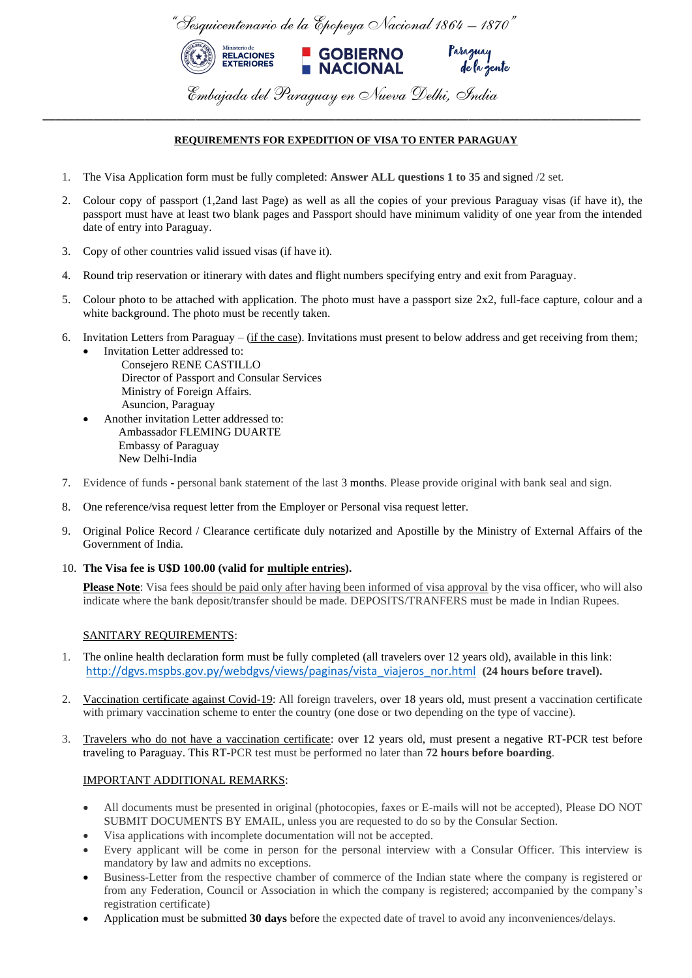

## **REQUIREMENTS FOR EXPEDITION OF VISA TO ENTER PARAGUAY**

\_\_\_\_\_\_\_\_\_\_\_\_\_\_\_\_\_\_\_\_\_\_\_\_\_\_\_\_\_\_\_\_\_\_\_\_\_\_\_\_\_\_\_\_\_\_\_\_\_\_\_\_\_\_\_\_\_\_\_\_\_\_\_\_\_\_\_\_\_\_\_\_\_\_\_\_\_\_\_\_\_\_\_\_\_\_\_\_\_\_\_\_\_\_

- 1. The Visa [Application](http://www.schengenvisainfo.com/download-schengen-visa-application-form/) form must be fully completed: **Answer ALL questions 1 to 35** and signed /2 set.
- 2. Colour copy of passport (1,2and last Page) as well as all the copies of your previous Paraguay visas (if have it), the passport must have at least two blank pages and Passport should have minimum validity of one year from the intended date of entry into Paraguay.
- 3. Copy of other countries valid issued visas (if have it).
- 4. Round trip [reservation](http://www.schengenvisainfo.com/flight-itinerary-visa-application/) or itinerary with dates and flight numbers specifying entry and exit from Paraguay.
- 5. Colour photo to be attached with application. The photo must have a passport size 2x2, [full-face](http://www.schengenvisainfo.com/schengen-visa-application-requirements/photo-requirements/) capture, colour and a white [background.](http://www.schengenvisainfo.com/schengen-visa-application-requirements/photo-requirements/) The photo must be recently taken.
- 6. Invitation Letters from Paraguay  $-$  (if the case). Invitations must present to below address and get receiving from them;
	- Invitation Letter addressed to: Consejero RENE CASTILLO Director of Passport and Consular Services Ministry of Foreign Affairs. Asuncion, Paraguay
	- Another invitation Letter addressed to: Ambassador FLEMING DUARTE Embassy of Paraguay New Delhi-India
- 7. Evidence of funds **-** personal bank statement of the last 3 months. Please provide original with bank seal and sign.
- 8. One reference/visa request letter from the Employer or Personal visa request letter.
- 9. Original Police Record / Clearance certificate duly notarized and Apostille by the Ministry of External Affairs of the Government of India.
- 10. **The Visa fee is U\$D 100.00 (valid for multiple entries).**

**Please Note**: Visa fees should be paid only after having been informed of visa approval by the visa officer, who will also indicate where the bank deposit/transfer should be made. DEPOSITS/TRANFERS must be made in Indian Rupees.

## SANITARY REQUIREMENTS:

- 1. The online health declaration form must be fully completed (all travelers over 12 years old), available in this link: [http://dgvs.mspbs.gov.py/webdgvs/views/paginas/vista\\_viajeros\\_nor.html](http://dgvs.mspbs.gov.py/webdgvs/views/paginas/vista_viajeros_nor.html) **(24 hours before travel).**
- 2. Vaccination certificate against Covid-19: All foreign travelers, over 18 years old, must present a vaccination certificate with primary vaccination scheme to enter the country (one dose or two depending on the type of vaccine).
- 3. Travelers who do not have a vaccination certificate: over 12 years old, must present a negative RT-PCR test before traveling to Paraguay. This RT-PCR test must be performed no later than **72 hours before boarding**.

## IMPORTANT ADDITIONAL REMARKS:

- All documents must be presented in original (photocopies, faxes or E-mails will not be accepted), Please DO NOT SUBMIT DOCUMENTS BY EMAIL, unless you are requested to do so by the Consular Section.
- Visa applications with incomplete documentation will not be accepted.
- Every applicant will be come in person for the personal interview with a Consular Officer. This interview is mandatory by law and admits no exceptions.
- Business-Letter from the respective chamber of commerce of the Indian state where the company is registered or from any Federation, Council or Association in which the company is registered; accompanied by the company's registration certificate)
- Application must be submitted **30 days** before the expected date of travel to avoid any inconveniences/delays.